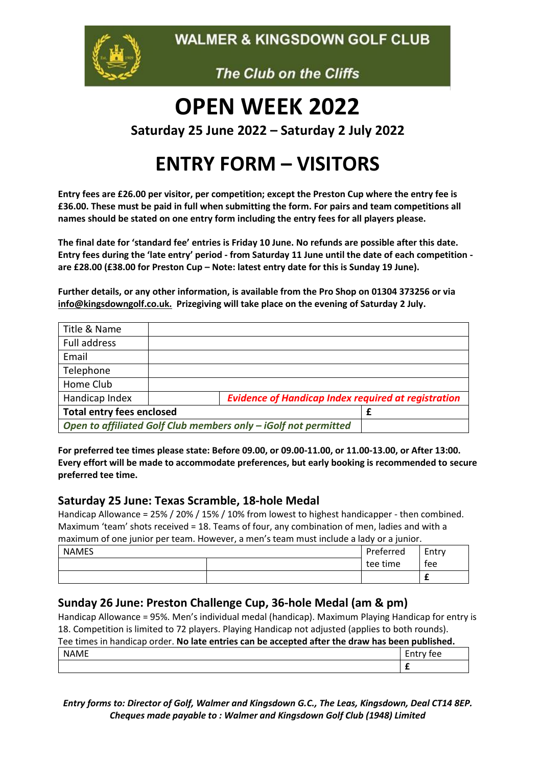**WALMER & KINGSDOWN GOLF CLUB** 



The Club on the Cliffs

# **OPEN WEEK 2022**

**Saturday 25 June 2022 – Saturday 2 July 2022**

## **ENTRY FORM – VISITORS**

**Entry fees are £26.00 per visitor, per competition; except the Preston Cup where the entry fee is £36.00. These must be paid in full when submitting the form. For pairs and team competitions all names should be stated on one entry form including the entry fees for all players please.**

**The final date for 'standard fee' entries is Friday 10 June. No refunds are possible after this date. Entry fees during the 'late entry' period - from Saturday 11 June until the date of each competition are £28.00 (£38.00 for Preston Cup – Note: latest entry date for this is Sunday 19 June).** 

**Further details, or any other information, is available from the Pro Shop on 01304 373256 or via [info@kingsdowngolf.co.uk.](mailto:info@kingsdowngolf.co.uk) Prizegiving will take place on the evening of Saturday 2 July.** 

| Title & Name                     |                                                                 |  |
|----------------------------------|-----------------------------------------------------------------|--|
| Full address                     |                                                                 |  |
| Email                            |                                                                 |  |
| Telephone                        |                                                                 |  |
| Home Club                        |                                                                 |  |
| Handicap Index                   | <b>Evidence of Handicap Index required at registration</b>      |  |
| <b>Total entry fees enclosed</b> | £                                                               |  |
|                                  | Open to affiliated Golf Club members only - iGolf not permitted |  |

**For preferred tee times please state: Before 09.00, or 09.00-11.00, or 11.00-13.00, or After 13:00. Every effort will be made to accommodate preferences, but early booking is recommended to secure preferred tee time.**

#### **Saturday 25 June: Texas Scramble, 18-hole Medal**

Handicap Allowance = 25% / 20% / 15% / 10% from lowest to highest handicapper - then combined. Maximum 'team' shots received = 18. Teams of four, any combination of men, ladies and with a maximum of one junior per team. However, a men's team must include a lady or a junior.

| <b>NAMES</b> | Preferred | Entry |
|--------------|-----------|-------|
|              | tee time  | tee   |
|              |           |       |

#### **Sunday 26 June: Preston Challenge Cup, 36-hole Medal (am & pm)**

Handicap Allowance = 95%. Men's individual medal (handicap). Maximum Playing Handicap for entry is 18. Competition is limited to 72 players. Playing Handicap not adjusted (applies to both rounds).

#### Tee times in handicap order. **No late entries can be accepted after the draw has been published.**

| $\sim$ $-$<br>n | $\sim$<br>- |
|-----------------|-------------|
|                 |             |

*Entry forms to: Director of Golf, Walmer and Kingsdown G.C., The Leas, Kingsdown, Deal CT14 8EP. Cheques made payable to : Walmer and Kingsdown Golf Club (1948) Limited*